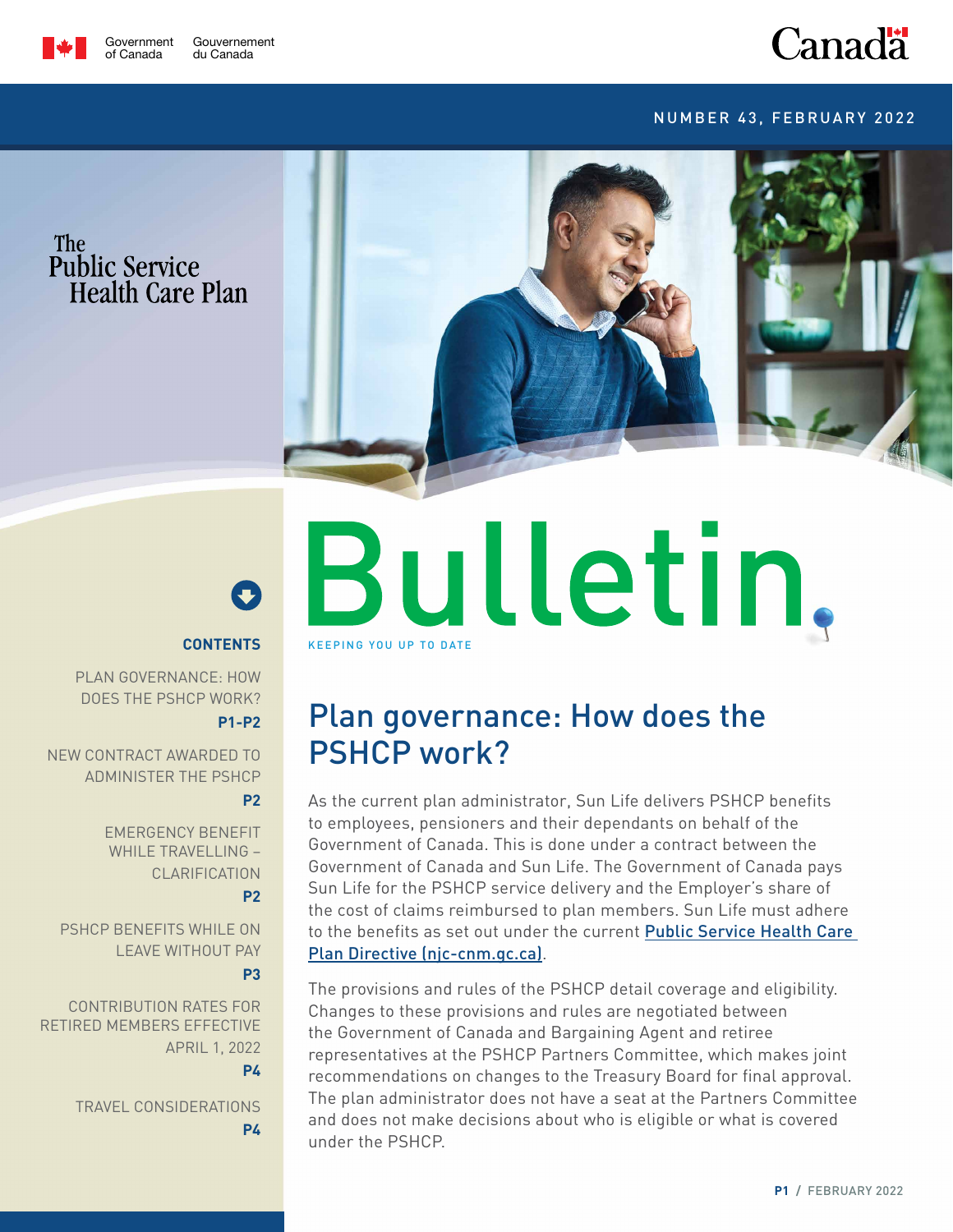

## **Canadä**

#### Number 43, February 2022





#### **Contents**

Plan governance: How does the PSHCP work? **P1-P2**

New contract awarded to administer the PSHCP **[P2](#page-1-0)**

> Emergency Benefit WHILE TRAVELLING clarification **[P2](#page-1-0)**

PSHCP BENEFITS WHILE ON Leave Without Pay

**[P3](#page-2-0)**

Contribution rates for retired members effective April 1, 2022 **[P](#page-2-0)4**

> Travel considerations **[P](#page-2-0)4**

# Bulletin, KEEPING YOU UP TO DATE

### Plan governance: How does the PSHCP work?

As the current plan administrator, Sun Life delivers PSHCP benefits to employees, pensioners and their dependants on behalf of the Government of Canada. This is done under a contract between the Government of Canada and Sun Life. The Government of Canada pays Sun Life for the PSHCP service delivery and the Employer's share of the cost of claims reimbursed to plan members. Sun Life must adhere to the benefits as set out under the current Public Service Health Care [Plan Directive \(njc-cnm.gc.ca\)](https://www.njc-cnm.gc.ca/directive/d9/en).

The provisions and rules of the PSHCP detail coverage and eligibility. Changes to these provisions and rules are negotiated between the Government of Canada and Bargaining Agent and retiree representatives at the PSHCP Partners Committee, which makes joint recommendations on changes to the Treasury Board for final approval. The plan administrator does not have a seat at the Partners Committee and does not make decisions about who is eligible or what is covered under the PSHCP.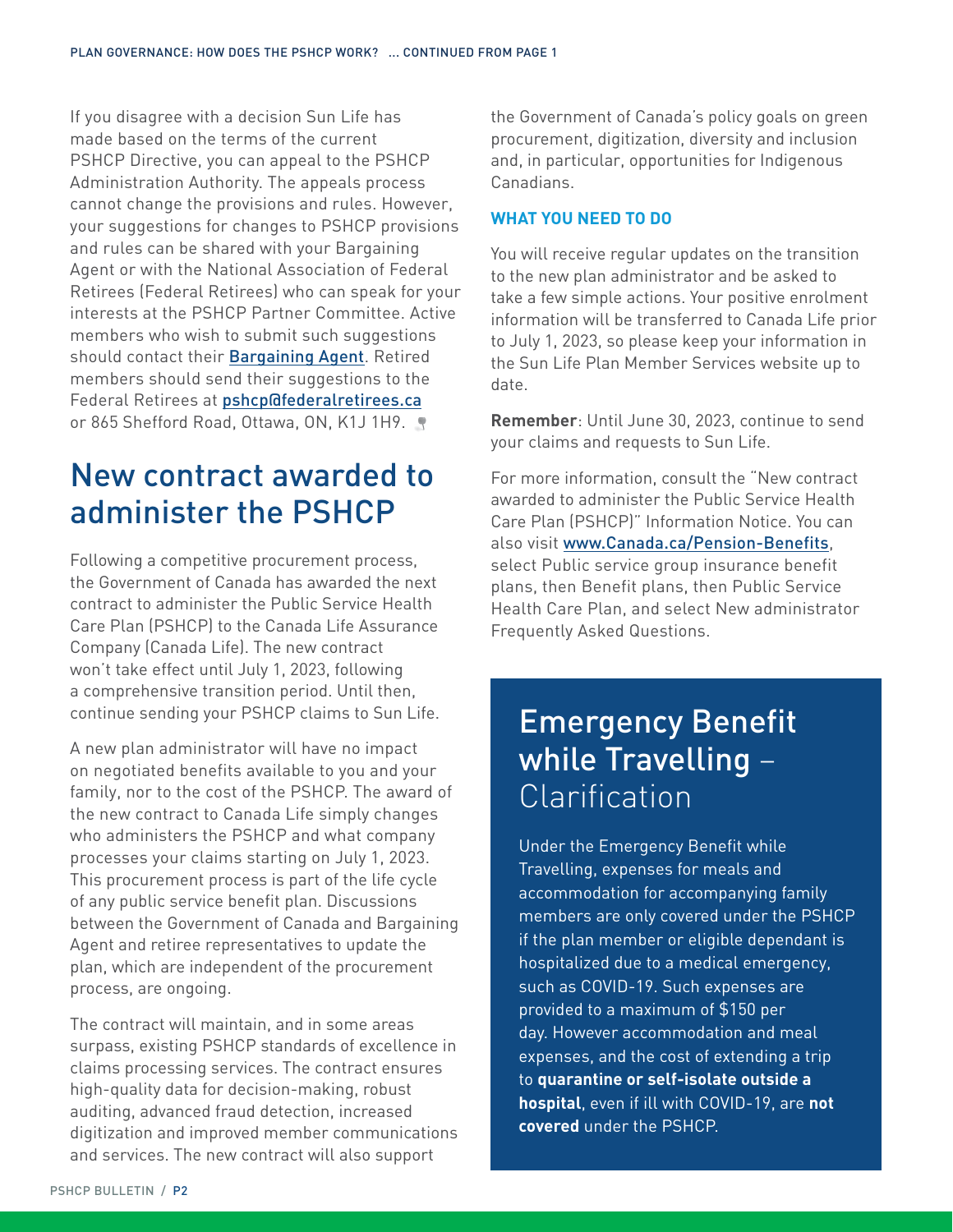<span id="page-1-0"></span>If you disagree with a decision Sun Life has made based on the terms of the current PSHCP Directive, you can appeal to the PSHCP Administration Authority. The appeals process cannot change the provisions and rules. However, your suggestions for changes to PSHCP provisions and rules can be shared with your Bargaining Agent or with the National Association of Federal Retirees (Federal Retirees) who can speak for your interests at the PSHCP Partner Committee. Active members who wish to submit such suggestions should contact their **[Bargaining Agent](https://www.tbs-sct.gc.ca/tbsf-fsct/340-51-agents-eng.asp)**. Retired members should send their suggestions to the Federal Retirees at **[pshcp@federalretirees.ca](mailto:pshcp%40federalretirees.ca?subject=Suggestion)** or 865 Shefford Road, Ottawa, ON, K1J 1H9.

### New contract awarded to administer the PSHCP

Following a competitive procurement process, the Government of Canada has awarded the next contract to administer the Public Service Health Care Plan (PSHCP) to the Canada Life Assurance Company (Canada Life). The new contract won't take effect until July 1, 2023, following a comprehensive transition period. Until then, continue sending your PSHCP claims to Sun Life.

A new plan administrator will have no impact on negotiated benefits available to you and your family, nor to the cost of the PSHCP. The award of the new contract to Canada Life simply changes who administers the PSHCP and what company processes your claims starting on July 1, 2023. This procurement process is part of the life cycle of any public service benefit plan. Discussions between the Government of Canada and Bargaining Agent and retiree representatives to update the plan, which are independent of the procurement process, are ongoing.

The contract will maintain, and in some areas surpass, existing PSHCP standards of excellence in claims processing services. The contract ensures high-quality data for decision-making, robust auditing, advanced fraud detection, increased digitization and improved member communications and services. The new contract will also support

the Government of Canada's policy goals on green procurement, digitization, diversity and inclusion and, in particular, opportunities for Indigenous Canadians.

#### **What you need to do**

You will receive regular updates on the transition to the new plan administrator and be asked to take a few simple actions. Your positive enrolment information will be transferred to Canada Life prior to July 1, 2023, so please keep your information in the Sun Life Plan Member Services website up to date.

**Remember**: Until June 30, 2023, continue to send your claims and requests to Sun Life.

For more information, consult the "New contract awarded to administer the Public Service Health Care Plan (PSHCP)" Information Notice. You can also visit [www.Canada.ca/Pension-Benefits](http://www.canada.ca/Pension-Benefits), select Public service group insurance benefit plans, then Benefit plans, then Public Service Health Care Plan, and select New administrator Frequently Asked Questions.

### Emergency Benefit while Travelling – Clarification

Under the Emergency Benefit while Travelling, expenses for meals and accommodation for accompanying family members are only covered under the PSHCP if the plan member or eligible dependant is hospitalized due to a medical emergency, such as COVID-19. Such expenses are provided to a maximum of \$150 per day. However accommodation and meal expenses, and the cost of extending a trip to **quarantine or self-isolate outside a hospital**, even if ill with COVID-19, are **not covered** under the PSHCP.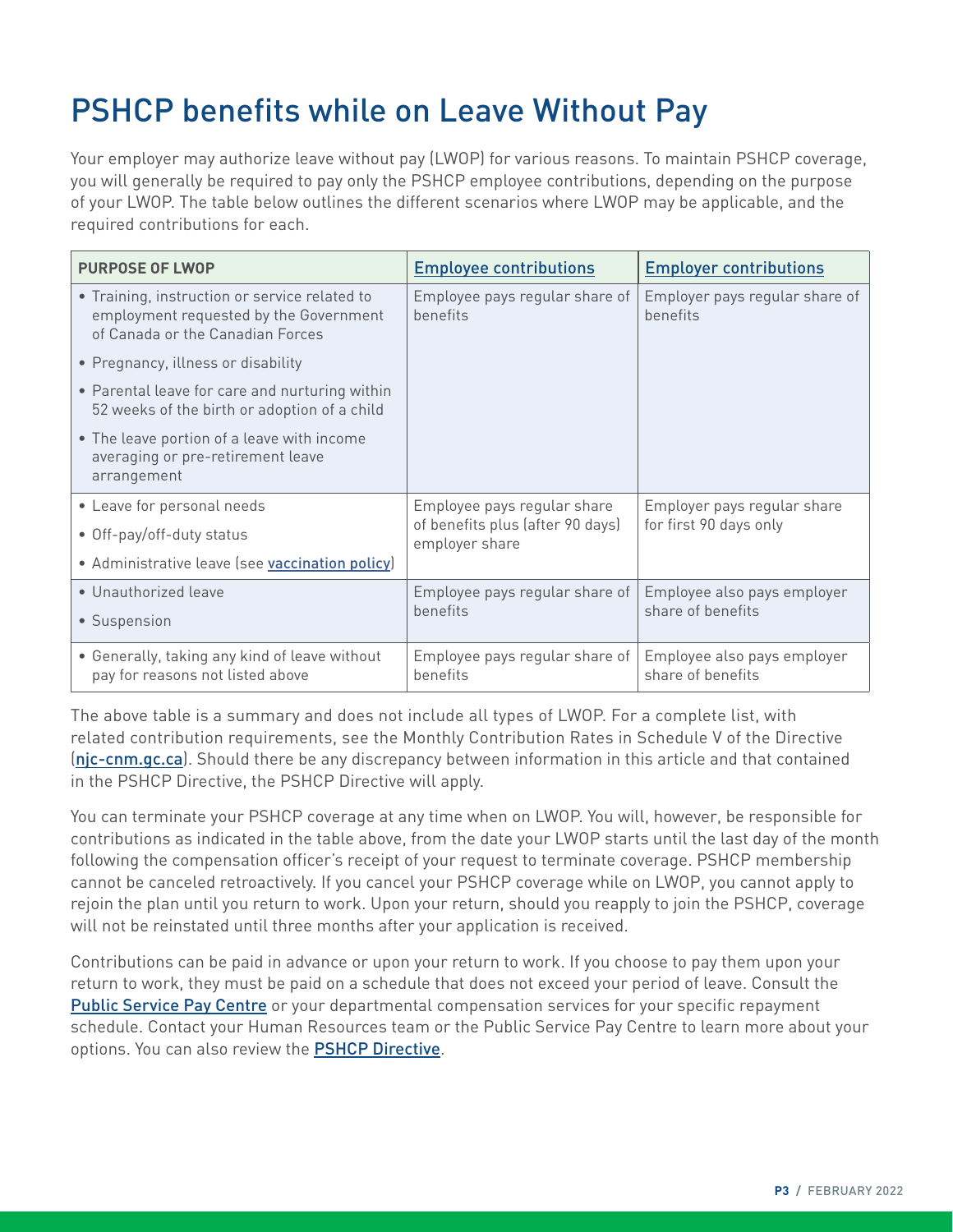### <span id="page-2-0"></span>PSHCP benefits while on Leave Without Pay

Your employer may authorize leave without pay (LWOP) for various reasons. To maintain PSHCP coverage, you will generally be required to pay only the PSHCP employee contributions, depending on the purpose of your LWOP. The table below outlines the different scenarios where LWOP may be applicable, and the required contributions for each.

| <b>PURPOSE OF LWOP</b>                                                                                                      | <b>Employee contributions</b>                      | <b>Employer contributions</b>                         |  |
|-----------------------------------------------------------------------------------------------------------------------------|----------------------------------------------------|-------------------------------------------------------|--|
| • Training, instruction or service related to<br>employment requested by the Government<br>of Canada or the Canadian Forces | Employee pays regular share of<br>benefits         | Employer pays regular share of<br>benefits            |  |
| • Pregnancy, illness or disability                                                                                          |                                                    |                                                       |  |
| • Parental leave for care and nurturing within<br>52 weeks of the birth or adoption of a child                              |                                                    |                                                       |  |
| • The leave portion of a leave with income<br>averaging or pre-retirement leave<br>arrangement                              |                                                    |                                                       |  |
| • Leave for personal needs                                                                                                  | Employee pays regular share                        | Employer pays regular share<br>for first 90 days only |  |
| • Off-pay/off-duty status                                                                                                   | of benefits plus (after 90 days)<br>employer share |                                                       |  |
| • Administrative leave (see vaccination policy)                                                                             |                                                    |                                                       |  |
| • Unauthorized leave                                                                                                        | Employee pays regular share of                     | Employee also pays employer                           |  |
| • Suspension                                                                                                                | benefits                                           | share of benefits                                     |  |
| • Generally, taking any kind of leave without<br>pay for reasons not listed above                                           | Employee pays regular share of<br>benefits         | Employee also pays employer<br>share of benefits      |  |

The above table is a summary and does not include all types of LWOP. For a complete list, with related contribution requirements, see the Monthly Contribution Rates in Schedule V of the Directive ([njc-cnm.gc.ca](https://www.njc-cnm.gc.ca/directive/d9/v9/s69/en%23s69-tc-tm_1)). Should there be any discrepancy between information in this article and that contained in the PSHCP Directive, the PSHCP Directive will apply.

You can terminate your PSHCP coverage at any time when on LWOP. You will, however, be responsible for contributions as indicated in the table above, from the date your LWOP starts until the last day of the month following the compensation officer's receipt of your request to terminate coverage. PSHCP membership cannot be canceled retroactively. If you cancel your PSHCP coverage while on LWOP, you cannot apply to rejoin the plan until you return to work. Upon your return, should you reapply to join the PSHCP, coverage will not be reinstated until three months after your application is received.

Contributions can be paid in advance or upon your return to work. If you choose to pay them upon your return to work, they must be paid on a schedule that does not exceed your period of leave. Consult the [Public Service Pay Centre](https://www.tpsgc-pwgsc.gc.ca/remuneration-compensation/services-paye-pay-services/paye-centre-pay/cn-cu-eng.html) or your departmental compensation services for your specific repayment schedule. Contact your Human Resources team or the Public Service Pay Centre to learn more about your options. You can also review the **[PSHCP Directive](https://www.njc-cnm.gc.ca/directive/d9/en)**.